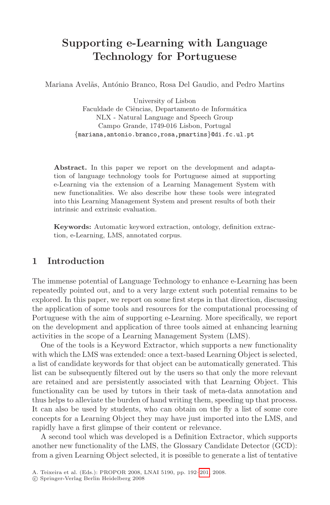# **Supporting e-Learning with Language Technology for Portuguese**

Mariana Avelãs, António Branco, Rosa Del Gaudio, and Pedro Martins

University of Lisbon Faculdade de Ciências, Departamento de Informática NLX - Natural Language and Speech Group Campo Grande, 1749-016 Lisbon, Portugal *{*mariana,antonio.branco,rosa,pmartins*}*@di.fc.ul.pt

**Abstract.** In this paper we report on the development and adaptation of language technology tools for Portuguese aimed at supporting e-Learning via the extension of a Learning Management System with new functionalities. We also describe how these tools were integrated into this Learning Management System and present results of both their intrinsic and extrinsic evaluation.

**Keywords:** Automatic keyword extraction, ontology, definition extraction, e-Learning, LMS, annotated corpus.

# **1 Introduction**

The immense potential of Language Technology to enhance e-Learning has been repeatedly pointed out, and to a very large extent such potential remains to be explored. In this paper, we report on some first steps in that direction, discussing the application of some tools and resources for the computational processing of Portuguese with the aim of supporting e-Learning. More specifically, we report on the development and application of three tools aimed at enhancing learning activities in the scope of a Learning Management System (LMS).

One of the tools is a Keyword Extractor, which supports a new functionality with which the LMS was extended: once a text-based Learning Object is selected, a list of candidate keywords for that object can be automatically generated. This list can be subsequently filtered out by the users so that only the more relevant are retained and are persistently associated with that Learning Object. This functionality can be used by tutors in their task of meta-data annotation and thus helps to alleviate the burd[en o](#page-9-0)f hand writing them, speeding up that process. It can also be used by students, who can obtain on the fly a list of some core concepts for a Learning Object they may have just imported into the LMS, and rapidly have a first glimpse of their content or relevance.

A second tool which was developed is a Definition Extractor, which supports another new functionality of the LMS, the Glossary Candidate Detector (GCD): from a given Learning Object selected, it is possible to generate a list of tentative

A. Teixeira et al. (Eds.): PROPOR 2008, LNAI 5190, pp. 192–201, 2008.

<sup>-</sup>c Springer-Verlag Berlin Heidelberg 2008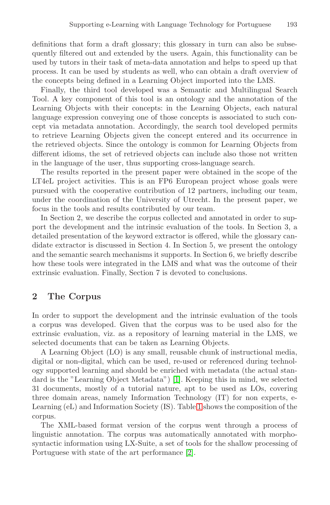definitions that form a draft glossary; this glossary in turn can also be subsequently filtered out and extended by the users. Again, this functionality can be used by tutors in their task of meta-data annotation and helps to speed up that process. It can be used by students as well, who can obtain a draft overview of the concepts being defined in a Learning Object imported into the LMS.

Finally, the third tool developed was a Semantic and Multilingual Search Tool. A key component of this tool is an ontology and the annotation of the Learning Objects with their concepts: in the Learning Objects, each natural language expression conveying one of those concepts is associated to such concept via metadata annotation. Accordingly, the search tool developed permits to retrieve Learning Objects given the concept entered and its occurrence in the retrieved objects. Since the ontology is common for Learning Objects from different idioms, the set of retrieved objects can include also those not written in the language of the user, thus supporting cross-language search.

The results reported in the present paper were obtained in the scope of the LT4eL project activities. This is an FP6 European project whose goals were pursued with the cooperative contribution of 12 partners, including our team, under the coordination of the University of Utrecht. In the present paper, we focus in the tools and results contributed by our team.

In Section 2, we describe the corpus collected and annotated in order to support the development and the intrinsic evaluation of the tools. In Section 3, a detailed presentation of the keyword extractor is offered, while the glossary candidate extractor is discussed in Section 4. In Section 5, we present the ontology and the semantic search mechanisms it supports. In Section 6, we briefly describe how these tools were integrated in the LMS and what was the outcome of their extrinsic evaluation. Finally, Section 7 is devoted to conclusions.

# **2 The Corpus**

In order to support the development and the intrinsic evaluation of the tools a corpus was developed. Given that the corpus was to be used also for the extrinsic evaluation, viz. as a repository of learning material in the LMS, we selected documents that can be taken as Learning Objects.

A Learning Object (LO) is any small, reusable chunk of instructional media, digital or non-digital, which can be used, re-used or referenced during technology supported learning and should be enriched with metadata (the actual standard is the "Learning Object Metadata") [1]. Keeping this in mind, we selected 31 documents, mostly of a tutorial nature, apt to be used as LOs, covering three domain areas, namely Information Technology (IT) for non experts, e-Learning (eL) and Information Society (IS). Table 1 shows the composition of the corpus.

The XML-based format version of the corpus went through a process of linguistic annotation. The corpus was automatically annotated with morphosyntactic information using LX-Suite, a set of tools for the shallow processing of Portuguese with state of the art performance [2].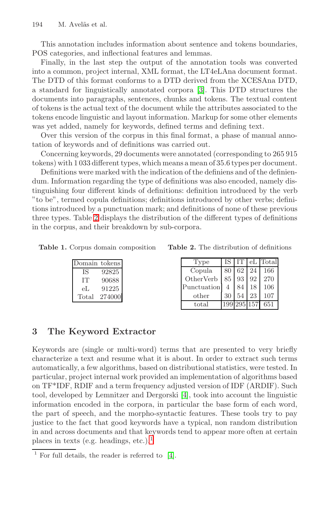194 M. Avelãs et al.

This annotation includes information about sentence and tokens boundaries, POS categories, and inflectional features and lemmas.

Finally, in the last step the output of the annotation tools was converted into a common, project internal, XML format, the LT4eLAna document format. The DTD of this format conforms to a DTD derived from the XCESAna DTD, a standard for linguistically annotated corpora [3]. This DTD structures the documents into paragraphs, sentences, chunks and tokens. The textual content of tokens is the actual text of the document while the attributes associated to the tokens encode linguistic and layout information. Markup for some other elements was yet added, namely for keywords, defined terms and defining text.

Over this version of the corpus in this final format, a phase of manual annotation of keywords and of definitions was carried out.

Concerning keywords, 29 documents were annotated (corresponding to 265 915 tokens) with 1 033 different types, which means a mean of 35.6 types per document.

Definitions were marked with the indication of the definiens and of the definiendum. Information regarding the type of definitions was also encoded, namely distinguishing four different kinds of definitions: definition introduced by the verb "to be", termed copula definitions; definitions introduced by other verbs; definitions introduced by a punctuation mark; and definitions of none of these previous three types. Table 2 displays the distribution of the different types of definitions in the corpus, and their breakdown by sub-corpora.

**Table 1.** Corpus domain composition

**Table 2.** The distribution of definitions

|       | omain tokens |
|-------|--------------|
| IS    | 92825        |
| ĽГ    | 90688        |
| еL    | 91225        |
| Total | 274000       |

| Type        |                |       |             | IS IT eL Total |
|-------------|----------------|-------|-------------|----------------|
| Copula      | 80             | 62    | 24          | 166            |
| OtherVerb   |                | 85 93 | 92          | 270            |
| Punctuation | $\overline{4}$ | 84    | 18          | 106            |
| other       | 30             | 54    | 23          | 107            |
| total       |                |       | 199 295 157 | 651            |

### **3 The Keyword Extractor**

Keywords are (single or multi-word) terms that are presented to very briefly characterize a text and resume what it is about. In order to extract such terms automatically, a few algorithms, based on distributional statistics, were tested. In particular, project internal work provided an implementation of algorithms based on TF\*IDF, RDIF and a term frequency adjusted version of IDF (ARDIF). Such tool, developed by Lemnitzer and Dergorski [4], took into account the linguistic information encoded in the corpora, in particular the base form of each word, the part of speech, and the morpho-syntactic features. These tools try to pay justice to the fact that good keywords have a typical, non random distribution in and across documents and that keywords tend to appear more often at certain places in texts (e.g. headings, etc.).<sup>1</sup>

 $1$  For full details, the reader is referred to [4].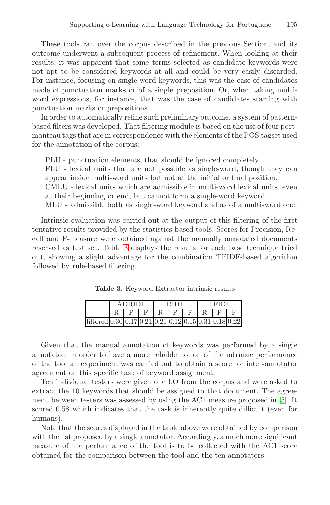These tools ran over the corpus described in the previous Section, and its outcome underwent a subsequent process of refinement. When looking at their results, it was apparent that some terms selected as candidate keywords were not apt to be considered keywords at all and could be very easily discarded. For instance, focusing on single-word keywords, this was the case of candidates made of punctuation marks or of a single preposition. Or, when taking multiword expressions, for instance, that was the case of candidates starting with punctuation marks or prepositions.

In order to automatically refine such preliminary outcome, a system of patternbased filters was developed. That filtering module is based on the use of four portmanteau tags that are in correspondence with the elements of the POS tagset used for the annotation of the corpus:

PLU - punctuation elements, that should be ignored completely.

FLU - lexical units that are not possible as single-word, though they can appear inside multi-word units but not at the initial or final position.

CMLU - lexical units which are admissible in multi-word lexical units, even at their beginning or end, but cannot form a single-word keyword.

MLU - admissible both as single-word keyword and as of a multi-word one.

Intrinsic evaluation was carried out at the output of this filtering of the first tentative results provided by the statistics-based tools. Scores for Precision, Recall and F-measure were obtained against the manually annotated documents reserved as test set. Table 3 displays the results for each base technique tried out, showing a slight advantage for the combination TFIDF-based algorithm followed by rule-based filtering.

**Table 3.** Keyword Extractor intrinsic results

|                                                                   |  |  |  |  |  | н. |  |  |  |
|-------------------------------------------------------------------|--|--|--|--|--|----|--|--|--|
|                                                                   |  |  |  |  |  |    |  |  |  |
| filtered $[0.30] 0.17] 0.21] 0.21] 0.12] 0.15] 0.31] 0.18] 0.22]$ |  |  |  |  |  |    |  |  |  |

Given that the manual annotation of keywords was performed by a single annotator, in order to have a more reliable notion of the intrinsic performance of the tool an experiment was carried out to obtain a score for inter-annotator agreement on this specific task of keyword assignment.

Ten individual testers were given one LO from the corpus and were asked to extract the 10 keywords that should be assigned to that document. The agreement between testers was assessed by using the AC1 measure proposed in [5]. It scored 0.58 which indicates that the task is inherently quite difficult (even for humans).

Note that the scores displayed in the table above were obtained by comparison with the list proposed by a single annotator. Accordingly, a much more significant measure of the performance of the tool is to be collected with the AC1 score obtained for the comparison between the tool and the ten annotators.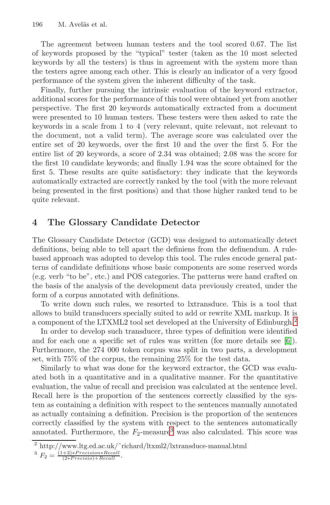196 M. Avelãs et al.

The agreement between human testers and the tool scored 0.67. The list of keywords proposed by the "typical" tester (taken as the 10 most selected keywords by all the testers) is thus in agreement with the system more than the testers agree among each other. This is clearly an indicator of a very fgood performance of the system given the inherent difficulty of the task.

Finally, further pursuing the intrinsic evaluation of the keyword extractor, additional scores for the performance of this tool were obtained yet from another perspective. The first 20 keywords automatically extracted from a document were presented to 10 human testers. These testers were then asked to rate the keywords in a scale from 1 to 4 (very relevant, quite relevant, not relevant to the document, not a valid term). The average score was calculated over the entire set of 20 keywords, over the first 10 and the over the first 5. For the entire list of 20 keywords, a score of 2.34 was obtained; 2.08 was the score for the first 10 candidate keywords; and finally 1.94 was the score obtained for the first 5. These results are quite satisfactory: they indicate that the keywords automatically extracted are correctly ranked by the tool (with the more relevant being presented in the first positions) and that those higher ranked tend to be quite relevant.

#### **4 The Glossary Candidate Detector**

The Glossary Candidate Detector (GCD) was designed to automatically detect definitions, being able to tell apart the definiens from the definendum. A rulebased approach was adopted to develop this tool. The rules encode general patterns of candidate definitions whose basic components are some reserved words (e.g. verb "to be", etc.) and POS categories. The patterns were hand crafted on the basis of the analysis of the development data previously created, under the form of a corpus annotated with definitions.

To write down such rules, we resorted to lxtransduce. This is a tool that allows to build transducers specially suited to add or rewrite XML markup. It is a component of the LTXML2 tool set developed at the University of Edinburgh.<sup>2</sup>

In order to develop such transducer, three types of definition were identified and for each one a specific set of rules was written (for more details see [6]). Furthermore, the 274 000 token corpus was split in two parts, a development set, with 75% of the corpus, the remaining 25% for the test data.

Similarly to what was done for the keyword extractor, the GCD was evaluated both in a quantitative and in a qualitative manner. For the quantitative evaluation, the value of recall and precision was calculated at the sentence level. Recall here is the proportion of the sentences correctly classified by the system as containing a definition with respect to the sentences manually annotated as actually containing a definition. Precision is the proportion of the sentences correctly classified by the system with respect to the sentences automatically annotated. Furthermore, the  $F_2$ -measure<sup>3</sup> was also calculated. This score was

 $^2$ http://www.ltg.ed.ac.uk/~richard/ltxml2/lxtransduce-manual.html

 ${}^{3}F_{2} = \frac{(1+2)*Precision*Recall}{(2*Precision)+Recall}.$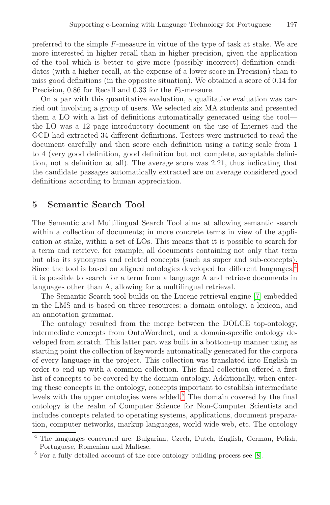preferred to the simple *F*-measure in virtue of the type of task at stake. We are more interested in higher recall than in higher precision, given the application of the tool which is better to give more (possibly incorrect) definition candidates (with a higher recall, at the expense of a lower score in Precision) than to miss good definitions (in the opposite situation). We obtained a score of 0.14 for Precision, 0.86 for Recall and 0.33 for the  $F_2$ -measure.

On a par with this quantitative evaluation, a qualitative evaluation was carried out involving a group of users. We selected six MA students and presented them a LO with a list of definitions automatically generated using the tool the LO was a 12 page introductory document on the use of Internet and the GCD had extracted 34 different definitions. Testers were instructed to read the document carefully and then score each definition using a rating scale from 1 to 4 (very good definition, good definition but not complete, acceptable definition, not a definition at all). The average score was 2.21, thus indicating that the candidate passages automatically extracted are on average considered good definitions according to human appreciation.

#### **5 Semantic Search Tool**

The Semantic and Multilingual Search Tool aims at allowing semantic search within a collection of documents; in more concrete terms in view of the application at stake, within a set of LOs. This means that it is possible to search for a term and retrieve, for example, all documents containing not only that term but also its synonyms and related concepts (such as super and sub-concepts). Since the tool is based on aligned ontologies developed for different languages,<sup>4</sup> it is possible to search for a term from a language A and retrieve documents in languages other than A, allowing for a multilingual retrieval.

The Semantic Search tool builds on the Lucene retrieval engine [7] embedded in the LMS and is based on three resources: a domain ontology, a lexicon, and an annotation grammar.

The ontology resulted from the merge between the DOLCE top-ontology, intermediate concepts from OntoWordnet, and a domain-specific ontology developed from scratch. This latter part was built in a bottom-up manner using as starting point the collection of keywords automatically generated for the corpora of every language in the project. This collection was translated into English in order to end up with a common collection. This final collection offered a first list of concepts to be covered by the domain ontology. Additionally, when entering these concepts in the ontology, concepts important to establish intermediate levels with the upper ontologies were added.<sup>5</sup> The domain covered by the final ontology is the realm of Computer Science for Non-Computer Scientists and includes concepts related to operating systems, applications, document preparation, computer networks, markup languages, world wide web, etc. The ontology

<sup>4</sup> The languages concerned are: Bulgarian, Czech, Dutch, English, German, Polish, Portuguese, Romenian and Maltese.

 $5$  For a fully detailed account of the core ontology building process see [8].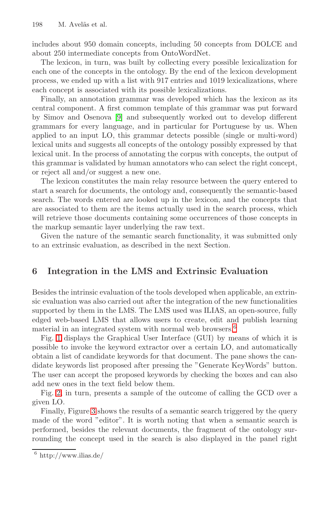198 M. Avelãs et al.

includes about 950 domain concepts, including 50 concepts from DOLCE and about 250 intermediate concepts from OntoWordNet.

The lexicon, in turn, was built by collecting every possible lexicalization for each one of the concepts in the ontology. By the end of the lexicon development process, we ended up with a list with 917 entries and 1019 lexicalizations, where each concept is associated with its possible lexicalizations.

Finally, an annotation grammar was developed which has the lexicon as its central component. A first common template of this grammar was put forward by Simov and Osenova [9] and subsequently worked out to develop different grammars for every language, and in particular for Portuguese by us. When applied to an input LO, this grammar detects possible (single or multi-word) lexical units and suggests all concepts of the ontology possibly expressed by that lexical unit. In the process of annotating the corpus with concepts, the output of this grammar is validated by human annotators who can select the right concept, or reject all and/or suggest a new one.

The lexicon constitutes the main relay resource between the query entered to start a search for documents, the ontology and, consequently the semantic-based search. The words entered are looked up in the lexicon, and the concepts that are associated to them are the items actually used in the search process, which will retrieve those documents containing some occurrences of those concepts in the markup semantic layer underlying the raw text.

Given the nature of the semantic search functionality, it was submitted only to an extrinsic evaluation, as described in the next Section.

## **6 Integration in the LMS and Extrinsic Evaluation**

Besides the intrinsic evaluation of the tools developed when applicable, an extrinsic evaluation was also carried out after the integration of the new functionalities supported by them in the LMS. The LMS used was ILIAS, an open-source, fully edged web-based LMS that allows users to create, edit and publish learning material in an integrated system with normal web browsers.<sup>6</sup>

Fig. 1 displays the Graphical User Interface (GUI) by means of which it is possible to invoke the keyword extractor over a certain LO, and automatically obtain a list of candidate keywords for that document. The pane shows the candidate keywords list proposed after pressing the "Generate KeyWords" button. The user can accept the proposed keywords by checking the boxes and can also add new ones in the text field below them.

Fig. 2, in turn, presents a sample of the outcome of calling the GCD over a given LO.

Finally, Figure 3 shows the results of a semantic search triggered by the query made of the word "editor". It is worth noting that when a semantic search is performed, besides the relevant documents, the fragment of the ontology surrounding the concept used in the search is also displayed in the panel right

 $\sqrt{6}$  http://www.ilias.de/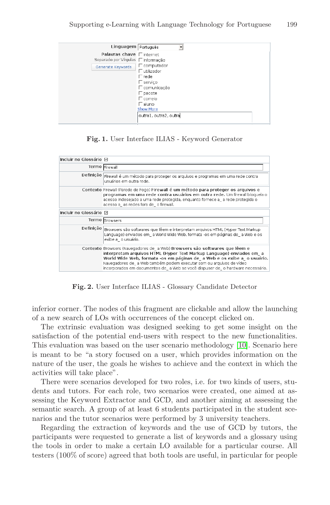

Supporting e-Learning with Language Technology for Portuguese 199





**Fig. 2.** User Interface ILIAS - Glossary Candidate Detector

inferior corner. The nodes of this fragment are clickable and allow the launching of a new search of LOs with occurrences of the concept clicked on.

The extrinsic evaluation was designed seeking to get some insight on the satisfaction of the potential end-users with respect to the new functionalities. This evaluation was based on the user scenario methodology [10]. Scenario here is meant to be "a story focused on a user, which provides information on the nature of the user, the goals he wishes to achieve and the context in which the activities will take place".

There were scenarios developed for two roles, i.e. for two kinds of users, students and tutors. For each role, two scenarios were created, one aimed at assessing the Keyword Extractor and GCD, and another aiming at assessing the semantic search. A group of at least 6 students participated in the student scenarios and the tutor scenarios were performed by 3 university teachers.

Regarding the extraction of keywords and the use of GCD by tutors, the participants were requested to generate a list of keywords and a glossary using the tools in order to make a certain LO available for a particular course. All testers (100% of score) agreed that both tools are useful, in particular for people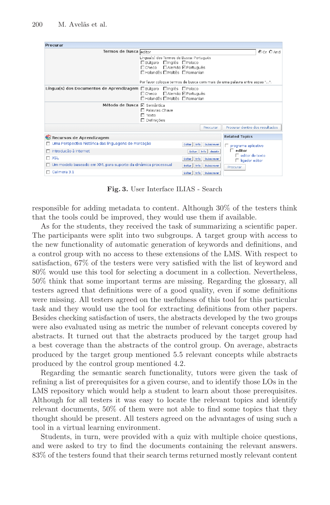

**Fig. 3.** User Interface ILIAS - Search

responsible for adding metadata to content. Although 30% of the testers think that the tools could be improved, they would use them if available.

As for the students, they received the task of summarizing a scientific paper. The participants were split into two subgroups. A target group with access to the new functionality of automatic generation of keywords and definitions, and a control group with no access to these extensions of the LMS. With respect to satisfaction, 67% of the testers were very satisfied with the list of keyword and 80% would use this tool for selecting a document in a collection. Nevertheless, 50% think that some important terms are missing. Regarding the glossary, all testers agreed that definitions were of a good quality, even if some definitions were missing. All testers agreed on the usefulness of this tool for this particular task and they would use the tool for extracting definitions from other papers. Besides checking satisfaction of users, the abstracts developed by the two groups were also evaluated using as metric the number of relevant concepts covered by abstracts. It turned out that the abstracts produced by the target group had a best coverage than the abstracts of the control group. On average, abstracts produced by the target group mentioned 5.5 relevant concepts while abstracts produced by the control group mentioned 4.2.

Regarding the semantic search functionality, tutors were given the task of refining a list of prerequisites for a given course, and to identify those LOs in the LMS repository which would help a student to learn about those prerequisites. Although for all testers it was easy to locate the relevant topics and identify relevant documents, 50% of them were not able to find some topics that they thought should be present. All testers agreed on the advantages of using such a tool in a virtual learning environment.

Students, in turn, were provided with a quiz with multiple choice questions, and were asked to try to find the documents containing the relevant answers. 83% of the testers found that their search terms returned mostly relevant content